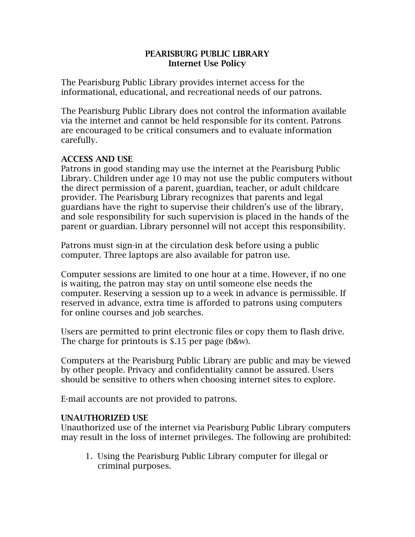## PEARISBURG PUBLIC LIBRARY Internet Use Policy

The Pearisburg Public Library provides internet access for the informational, educational, and recreational needs of our patrons.

The Pearisburg Public Library does not control the information available via the internet and cannot be held responsible for its content. Patrons are encouraged to be critical consumers and to evaluate information carefully.

## ACCESS AND USE

Patrons in good standing may use the internet at the Pearisburg Public Library. Children under age 10 may not use the public computers without the direct permission of a parent, guardian, teacher, or adult childcare provider. The Pearisburg Library recognizes that parents and legal guardians have the right to supervise their children's use of the library, and sole responsibility for such supervision is placed in the hands of the parent or guardian. Library personnel will not accept this responsibility.

Patrons must sign-in at the circulation desk before using a public computer. Three laptops are also available for patron use.

Computer sessions are limited to one hour at a time. However, if no one is waiting, the patron may stay on until someone else needs the computer. Reserving a session up to a week in advance is permissible. If reserved in advance, extra time is afforded to patrons using computers for online courses and job searches.

Users are permitted to print electronic files or copy them to flash drive. The charge for printouts is \$.15 per page (b&w).

Computers at the Pearisburg Public Library are public and may be viewed by other people. Privacy and confidentiality cannot be assured. Users should be sensitive to others when choosing internet sites to explore.

E-mail accounts are not provided to patrons.

## UNAUTHORIZED USE

Unauthorized use of the internet via Pearisburg Public Library computers may result in the loss of internet privileges. The following are prohibited:

1. Using the Pearisburg Public Library computer for illegal or criminal purposes.